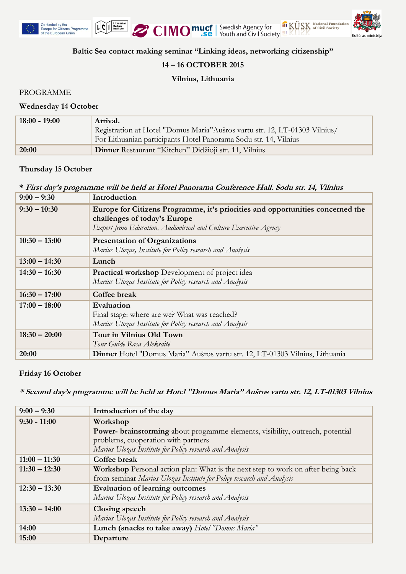





**Baltic Sea contact making seminar "Linking ideas, networking citizenship"**

# **14 – 16 OCTOBER 2015**

# **Vilnius, Lithuania**

PROGRAMME

### **Wednesday 14 October**

| $18:00 - 19:00$ | Arrival.                                                                   |
|-----------------|----------------------------------------------------------------------------|
|                 | Registration at Hotel "Domus Maria"Aušros vartu str. 12, LT-01303 Vilnius/ |
|                 | For Lithuanian participants Hotel Panorama Sodu str. 14, Vilnius           |
| 20:00           | Dinner Restaurant "Kitchen" Didžioji str. 11, Vilnius                      |

# **Thursday 15 October**

# **\* First day's programme will be held at Hotel Panorama Conference Hall. Sodu str. 14, Vilnius**

| $9:00 - 9:30$   | Introduction                                                                                                                                                                      |
|-----------------|-----------------------------------------------------------------------------------------------------------------------------------------------------------------------------------|
| $9:30 - 10:30$  | Europe for Citizens Programme, it's priorities and opportunities concerned the<br>challenges of today's Europe<br>Expert from Education, Audiovisual and Culture Executive Agency |
| $10:30 - 13:00$ | <b>Presentation of Organizations</b><br>Marius Ulozas, Institute for Policy research and Analysis                                                                                 |
| $13:00 - 14:30$ | Lunch                                                                                                                                                                             |
| $14:30 - 16:30$ | <b>Practical workshop</b> Development of project idea<br>Marius Ulozas Institute for Policy research and Analysis                                                                 |
| $16:30 - 17:00$ | Coffee break                                                                                                                                                                      |
| $17:00 - 18:00$ | Evaluation<br>Final stage: where are we? What was reached?<br>Marius Ulozas Institute for Policy research and Analysis                                                            |
| $18:30 - 20:00$ | Tour in Vilnius Old Town<br>Tour Guide Rasa Aleksaitė                                                                                                                             |
| 20:00           | Dinner Hotel "Domus Maria" Aušros vartu str. 12, LT-01303 Vilnius, Lithuania                                                                                                      |

### **Friday 16 October**

**\* Second day's programme will be held at Hotel "Domus Maria" Aušros vartu str. 12, LT-01303 Vilnius**

| $9:00 - 9:30$   | Introduction of the day                                                                 |
|-----------------|-----------------------------------------------------------------------------------------|
| $9:30 - 11:00$  | Workshop                                                                                |
|                 | Power- brainstorming about programme elements, visibility, outreach, potential          |
|                 | problems, cooperation with partners                                                     |
|                 | Marius Ulozas Institute for Policy research and Analysis                                |
| $11:00 - 11:30$ | Coffee break                                                                            |
| $11:30 - 12:30$ | <b>Workshop</b> Personal action plan: What is the next step to work on after being back |
|                 | from seminar Marius Ulozas Institute for Policy research and Analysis                   |
| $12:30 - 13:30$ | <b>Evaluation of learning outcomes</b>                                                  |
|                 | Marius Ulozas Institute for Policy research and Analysis                                |
| $13:30 - 14:00$ | Closing speech                                                                          |
|                 | Marius Ulozas Institute for Policy research and Analysis                                |
| 14:00           | Lunch (snacks to take away) Hotel "Domus Maria"                                         |
| 15:00           | Departure                                                                               |